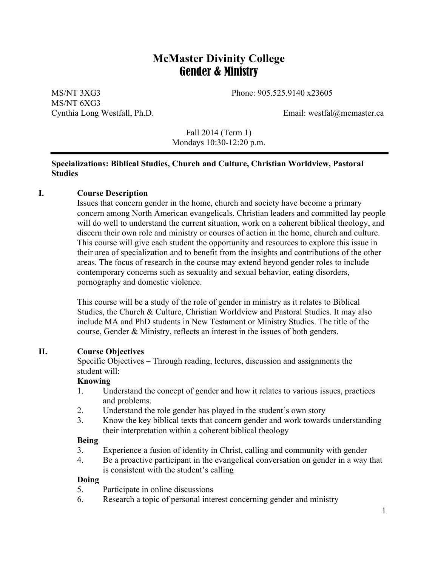# **McMaster Divinity College** Gender & Ministry

MS/NT 3XG3 Phone: 905.525.9140 x23605 MS/NT 6XG3 Cynthia Long Westfall, Ph.D. Email: westfal@mcmaster.ca

Fall 2014 (Term 1) Mondays 10:30-12:20 p.m.

### **Specializations: Biblical Studies, Church and Culture, Christian Worldview, Pastoral Studies**

### **I. Course Description**

Issues that concern gender in the home, church and society have become a primary concern among North American evangelicals. Christian leaders and committed lay people will do well to understand the current situation, work on a coherent biblical theology, and discern their own role and ministry or courses of action in the home, church and culture. This course will give each student the opportunity and resources to explore this issue in their area of specialization and to benefit from the insights and contributions of the other areas. The focus of research in the course may extend beyond gender roles to include contemporary concerns such as sexuality and sexual behavior, eating disorders, pornography and domestic violence.

This course will be a study of the role of gender in ministry as it relates to Biblical Studies, the Church & Culture, Christian Worldview and Pastoral Studies. It may also include MA and PhD students in New Testament or Ministry Studies. The title of the course, Gender & Ministry, reflects an interest in the issues of both genders.

#### **II. Course Objectives**

Specific Objectives – Through reading, lectures, discussion and assignments the student will:

#### **Knowing**

- 1. Understand the concept of gender and how it relates to various issues, practices and problems.
- 2. Understand the role gender has played in the student's own story
- 3. Know the key biblical texts that concern gender and work towards understanding their interpretation within a coherent biblical theology

#### **Being**

- 3. Experience a fusion of identity in Christ, calling and community with gender
- 4. Be a proactive participant in the evangelical conversation on gender in a way that is consistent with the student's calling

#### **Doing**

- 5. Participate in online discussions
- 6. Research a topic of personal interest concerning gender and ministry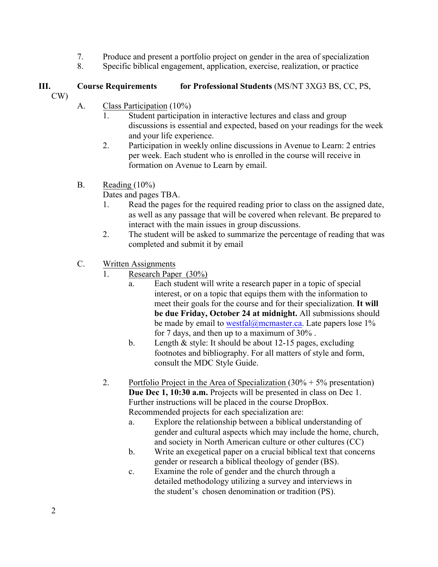- 7. Produce and present a portfolio project on gender in the area of specialization
- 8. Specific biblical engagement, application, exercise, realization, or practice

# **III. Course Requirements for Professional Students** (MS/NT 3XG3 BS, CC, PS,

- CW)
- A. Class Participation (10%)
	- 1. Student participation in interactive lectures and class and group discussions is essential and expected, based on your readings for the week and your life experience.
	- 2. Participation in weekly online discussions in Avenue to Learn: 2 entries per week. Each student who is enrolled in the course will receive in formation on Avenue to Learn by email.
- B. Reading  $(10\%)$

Dates and pages TBA.

- 1. Read the pages for the required reading prior to class on the assigned date, as well as any passage that will be covered when relevant. Be prepared to interact with the main issues in group discussions.
- 2. The student will be asked to summarize the percentage of reading that was completed and submit it by email
- C. Written Assignments
	- 1. Research Paper (30%)
		- a. Each student will write a research paper in a topic of special interest, or on a topic that equips them with the information to meet their goals for the course and for their specialization. **It will be due Friday, October 24 at midnight.** All submissions should be made by email to westfal@mcmaster.ca. Late papers lose  $1\%$ for 7 days, and then up to a maximum of 30% .
		- b. Length & style: It should be about 12-15 pages, excluding footnotes and bibliography. For all matters of style and form, consult the MDC Style Guide.
	- 2. Portfolio Project in the Area of Specialization  $(30\% + 5\%$  presentation) **Due Dec 1, 10:30 a.m.** Projects will be presented in class on Dec 1. Further instructions will be placed in the course DropBox. Recommended projects for each specialization are:
		- a. Explore the relationship between a biblical understanding of gender and cultural aspects which may include the home, church, and society in North American culture or other cultures (CC)
		- b. Write an exegetical paper on a crucial biblical text that concerns gender or research a biblical theology of gender (BS).
		- c. Examine the role of gender and the church through a detailed methodology utilizing a survey and interviews in the student's chosen denomination or tradition (PS).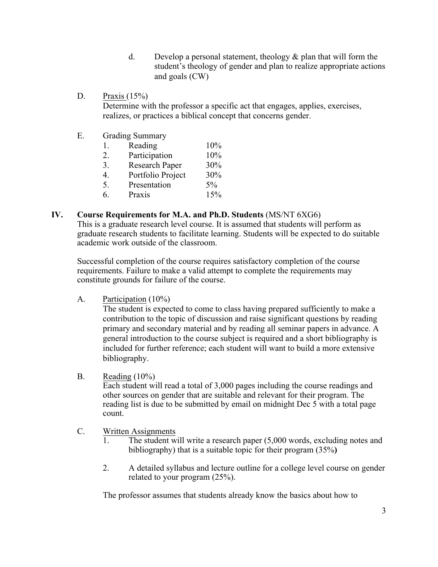- d. Develop a personal statement, theology  $\&$  plan that will form the student's theology of gender and plan to realize appropriate actions and goals (CW)
- D. Praxis  $(15\%)$ Determine with the professor a specific act that engages, applies, exercises, realizes, or practices a biblical concept that concerns gender.
- E. Grading Summary

| $\mathbf{I}$ . | Reading               | 10%   |
|----------------|-----------------------|-------|
| 2.             | Participation         | 10%   |
| 3.             | <b>Research Paper</b> | 30%   |
| 4.             | Portfolio Project     | 30%   |
| 5.             | Presentation          | $5\%$ |
|                |                       | 1.501 |

6. Praxis 15%

### **IV. Course Requirements for M.A. and Ph.D. Students** (MS/NT 6XG6)

This is a graduate research level course. It is assumed that students will perform as graduate research students to facilitate learning. Students will be expected to do suitable academic work outside of the classroom.

Successful completion of the course requires satisfactory completion of the course requirements. Failure to make a valid attempt to complete the requirements may constitute grounds for failure of the course.

A. Participation (10%)

The student is expected to come to class having prepared sufficiently to make a contribution to the topic of discussion and raise significant questions by reading primary and secondary material and by reading all seminar papers in advance. A general introduction to the course subject is required and a short bibliography is included for further reference; each student will want to build a more extensive bibliography.

B. Reading  $(10\%)$ 

Each student will read a total of 3,000 pages including the course readings and other sources on gender that are suitable and relevant for their program. The reading list is due to be submitted by email on midnight Dec 5 with a total page count.

- C. Written Assignments
	- 1. The student will write a research paper (5,000 words, excluding notes and bibliography) that is a suitable topic for their program (35%**)**
	- 2. A detailed syllabus and lecture outline for a college level course on gender related to your program (25%).

The professor assumes that students already know the basics about how to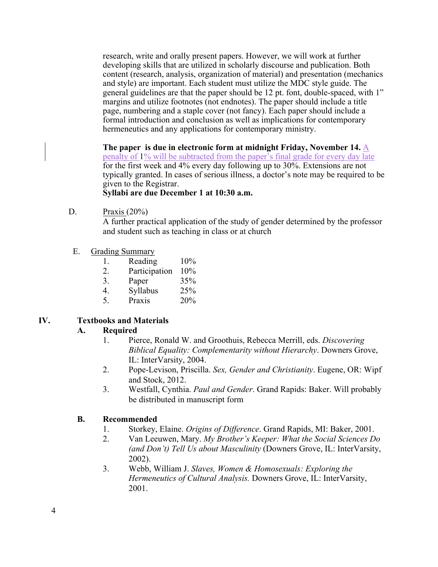research, write and orally present papers. However, we will work at further developing skills that are utilized in scholarly discourse and publication. Both content (research, analysis, organization of material) and presentation (mechanics and style) are important. Each student must utilize the MDC style guide. The general guidelines are that the paper should be 12 pt. font, double-spaced, with 1" margins and utilize footnotes (not endnotes). The paper should include a title page, numbering and a staple cover (not fancy). Each paper should include a formal introduction and conclusion as well as implications for contemporary hermeneutics and any applications for contemporary ministry.

**The paper is due in electronic form at midnight Friday, November 14.** A penalty of 1% will be subtracted from the paper's final grade for every day late for the first week and 4% every day following up to 30%. Extensions are not typically granted. In cases of serious illness, a doctor's note may be required to be given to the Registrar.

# **Syllabi are due December 1 at 10:30 a.m.**

D. Praxis (20%)

A further practical application of the study of gender determined by the professor and student such as teaching in class or at church

- E. Grading Summary
	- 1. Reading 10%
	- 2. Participation 10%
	- 3. Paper 35%
	- 4. Syllabus 25%
	- 5. Praxis 20%

# **IV. Textbooks and Materials**

### **A. Required**

- 1. Pierce, Ronald W. and Groothuis, Rebecca Merrill, eds. *Discovering Biblical Equality: Complementarity without Hierarchy*. Downers Grove, IL: InterVarsity, 2004.
- 2. Pope-Levison, Priscilla. *Sex, Gender and Christianity*. Eugene, OR: Wipf and Stock, 2012.
- 3. Westfall, Cynthia. *Paul and Gender*. Grand Rapids: Baker. Will probably be distributed in manuscript form

### **B. Recommended**

- 1. Storkey, Elaine. *Origins of Difference*. Grand Rapids, MI: Baker, 2001.
- 2. Van Leeuwen, Mary. *My Brother's Keeper: What the Social Sciences Do (and Don't) Tell Us about Masculinity* (Downers Grove, IL: InterVarsity, 2002).
- 3. Webb, William J. *Slaves, Women & Homosexuals: Exploring the Hermeneutics of Cultural Analysis.* Downers Grove, IL: InterVarsity, 2001.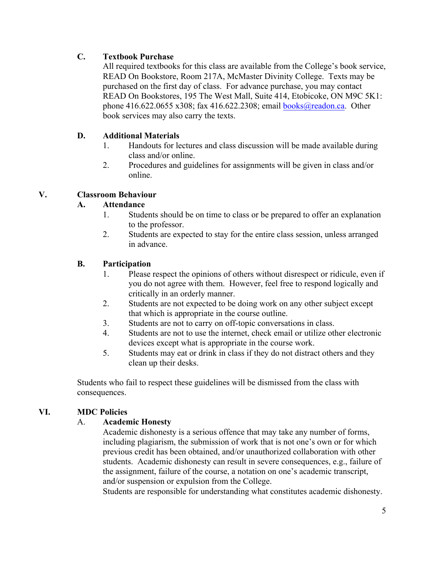# **C. Textbook Purchase**

All required textbooks for this class are available from the College's book service, READ On Bookstore, Room 217A, McMaster Divinity College. Texts may be purchased on the first day of class. For advance purchase, you may contact READ On Bookstores, 195 The West Mall, Suite 414, Etobicoke, ON M9C 5K1: phone 416.622.0655 x308; fax 416.622.2308; email books@readon.ca. Other book services may also carry the texts.

# **D. Additional Materials**

- 1. Handouts for lectures and class discussion will be made available during class and/or online.
- 2. Procedures and guidelines for assignments will be given in class and/or online.

# **V. Classroom Behaviour**

# **A. Attendance**

- 1. Students should be on time to class or be prepared to offer an explanation to the professor.
- 2. Students are expected to stay for the entire class session, unless arranged in advance.

# **B. Participation**

- 1. Please respect the opinions of others without disrespect or ridicule, even if you do not agree with them. However, feel free to respond logically and critically in an orderly manner.
- 2. Students are not expected to be doing work on any other subject except that which is appropriate in the course outline.
- 3. Students are not to carry on off-topic conversations in class.
- 4. Students are not to use the internet, check email or utilize other electronic devices except what is appropriate in the course work.
- 5. Students may eat or drink in class if they do not distract others and they clean up their desks.

Students who fail to respect these guidelines will be dismissed from the class with consequences.

# **VI. MDC Policies**

### A. **Academic Honesty**

Academic dishonesty is a serious offence that may take any number of forms, including plagiarism, the submission of work that is not one's own or for which previous credit has been obtained, and/or unauthorized collaboration with other students. Academic dishonesty can result in severe consequences, e.g., failure of the assignment, failure of the course, a notation on one's academic transcript, and/or suspension or expulsion from the College.

Students are responsible for understanding what constitutes academic dishonesty.